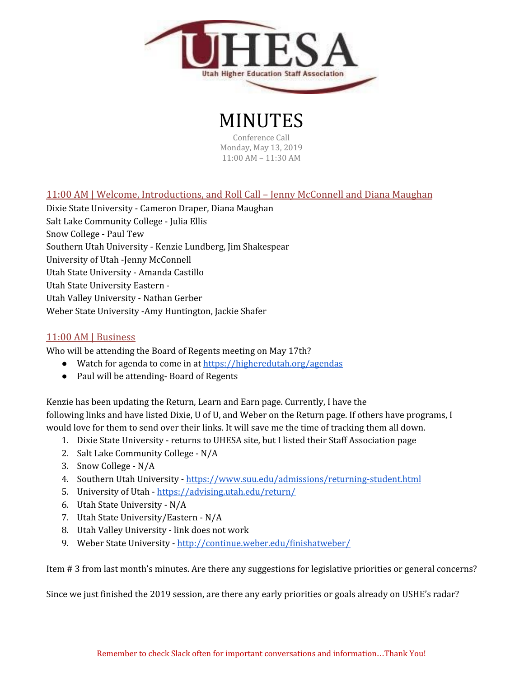

## MINUTES

Conference Call Monday, May 13, 2019 11:00 AM – 11:30 AM

## 11:00 AM | Welcome, Introductions, and Roll Call – Jenny McConnell and Diana Maughan

Dixie State University - Cameron Draper, Diana Maughan Salt Lake Community College - Julia Ellis Snow College - Paul Tew Southern Utah University - Kenzie Lundberg, Jim Shakespear University of Utah -Jenny McConnell Utah State University - Amanda Castillo Utah State University Eastern - Utah Valley University - Nathan Gerber Weber State University -Amy Huntington, Jackie Shafer

## 11:00 AM | Business

Who will be attending the Board of Regents meeting on May 17th?

- Watch for agenda to come in at [https://higheredutah.org/agendas](https://higheredutah.org/agendas/)
- Paul will be attending-Board of Regents

Kenzie has been updating the Return, Learn and Earn page. Currently, I have the following links and have listed Dixie, U of U, and Weber on the Return page. If others have programs, I would love for them to send over their links. It will save me the time of tracking them all down.

- 1. Dixie State University returns to UHESA site, but I listed their Staff Association page
- 2. Salt Lake Community College N/A
- 3. Snow College N/A
- 4. Southern Utah University <https://www.suu.edu/admissions/returning-student.html>
- 5. University of Utah <https://advising.utah.edu/return/>
- 6. Utah State University N/A
- 7. Utah State University/Eastern N/A
- 8. Utah Valley University link does not work
- 9. Weber State University <http://continue.weber.edu/finishatweber/>

Item # 3 from last month's minutes. Are there any suggestions for legislative priorities or general concerns?

Since we just finished the 2019 session, are there any early priorities or goals already on USHE's radar?